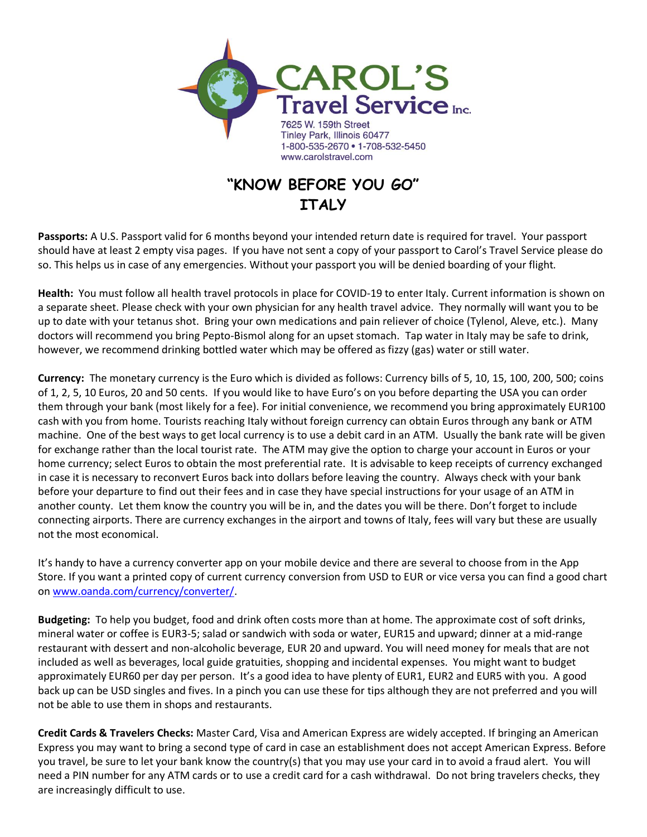

## **"KNOW BEFORE YOU GO" ITALY**

**Passports:** A U.S. Passport valid for 6 months beyond your intended return date is required for travel. Your passport should have at least 2 empty visa pages. If you have not sent a copy of your passport to Carol's Travel Service please do so. This helps us in case of any emergencies. Without your passport you will be denied boarding of your flight.

**Health:** You must follow all health travel protocols in place for COVID-19 to enter Italy. Current information is shown on a separate sheet. Please check with your own physician for any health travel advice. They normally will want you to be up to date with your tetanus shot. Bring your own medications and pain reliever of choice (Tylenol, Aleve, etc.). Many doctors will recommend you bring Pepto-Bismol along for an upset stomach. Tap water in Italy may be safe to drink, however, we recommend drinking bottled water which may be offered as fizzy (gas) water or still water.

**Currency:** The monetary currency is the Euro which is divided as follows: Currency bills of 5, 10, 15, 100, 200, 500; coins of 1, 2, 5, 10 Euros, 20 and 50 cents. If you would like to have Euro's on you before departing the USA you can order them through your bank (most likely for a fee). For initial convenience, we recommend you bring approximately EUR100 cash with you from home. Tourists reaching Italy without foreign currency can obtain Euros through any bank or ATM machine. One of the best ways to get local currency is to use a debit card in an ATM. Usually the bank rate will be given for exchange rather than the local tourist rate. The ATM may give the option to charge your account in Euros or your home currency; select Euros to obtain the most preferential rate. It is advisable to keep receipts of currency exchanged in case it is necessary to reconvert Euros back into dollars before leaving the country. Always check with your bank before your departure to find out their fees and in case they have special instructions for your usage of an ATM in another county. Let them know the country you will be in, and the dates you will be there. Don't forget to include connecting airports. There are currency exchanges in the airport and towns of Italy, fees will vary but these are usually not the most economical.

It's handy to have a currency converter app on your mobile device and there are several to choose from in the App Store. If you want a printed copy of current currency conversion from USD to EUR or vice versa you can find a good chart on [www.oanda.com/currency/converter/.](http://www.oanda.com/currency/converter/)

**Budgeting:** To help you budget, food and drink often costs more than at home. The approximate cost of soft drinks, mineral water or coffee is EUR3-5; salad or sandwich with soda or water, EUR15 and upward; dinner at a mid-range restaurant with dessert and non-alcoholic beverage, EUR 20 and upward. You will need money for meals that are not included as well as beverages, local guide gratuities, shopping and incidental expenses. You might want to budget approximately EUR60 per day per person. It's a good idea to have plenty of EUR1, EUR2 and EUR5 with you. A good back up can be USD singles and fives. In a pinch you can use these for tips although they are not preferred and you will not be able to use them in shops and restaurants.

**Credit Cards & Travelers Checks:** Master Card, Visa and American Express are widely accepted. If bringing an American Express you may want to bring a second type of card in case an establishment does not accept American Express. Before you travel, be sure to let your bank know the country(s) that you may use your card in to avoid a fraud alert. You will need a PIN number for any ATM cards or to use a credit card for a cash withdrawal. Do not bring travelers checks, they are increasingly difficult to use.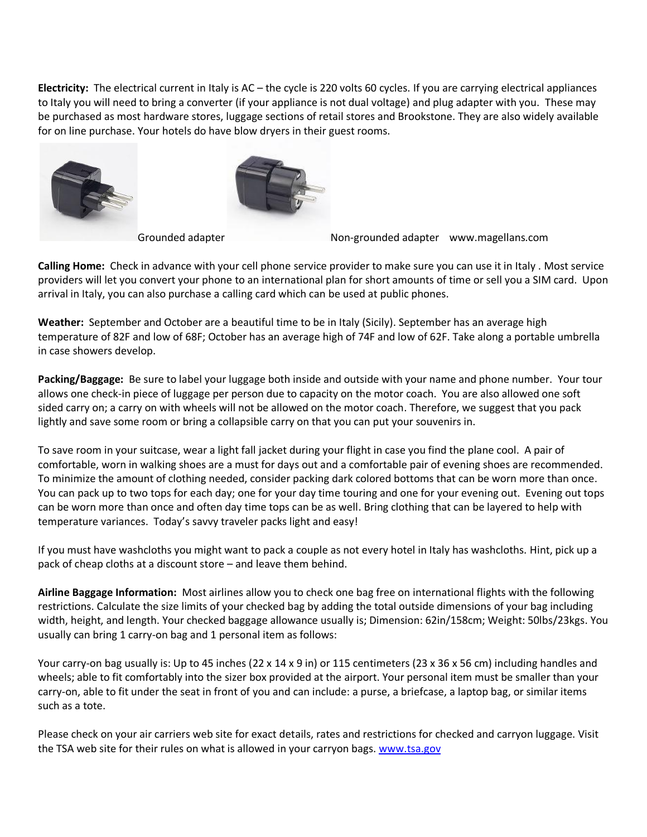**Electricity:** The electrical current in Italy is AC – the cycle is 220 volts 60 cycles. If you are carrying electrical appliances to Italy you will need to bring a converter (if your appliance is not dual voltage) and plug adapter with you. These may be purchased as most hardware stores, luggage sections of retail stores and Brookstone. They are also widely available for on line purchase. Your hotels do have blow dryers in their guest rooms.





Grounded adapter [N](http://www.magellans.com/itemdy00.aspx?T1=MEA33MDG)on-grounded adapter www.magellans.com

**Calling Home:** Check in advance with your cell phone service provider to make sure you can use it in Italy . Most service providers will let you convert your phone to an international plan for short amounts of time or sell you a SIM card. Upon arrival in Italy, you can also purchase a calling card which can be used at public phones.

**Weather:** September and October are a beautiful time to be in Italy (Sicily). September has an average high temperature of 82F and low of 68F; October has an average high of 74F and low of 62F. Take along a portable umbrella in case showers develop.

**Packing/Baggage:** Be sure to label your luggage both inside and outside with your name and phone number. Your tour allows one check-in piece of luggage per person due to capacity on the motor coach. You are also allowed one soft sided carry on; a carry on with wheels will not be allowed on the motor coach. Therefore, we suggest that you pack lightly and save some room or bring a collapsible carry on that you can put your souvenirs in.

To save room in your suitcase, wear a light fall jacket during your flight in case you find the plane cool. A pair of comfortable, worn in walking shoes are a must for days out and a comfortable pair of evening shoes are recommended. To minimize the amount of clothing needed, consider packing dark colored bottoms that can be worn more than once. You can pack up to two tops for each day; one for your day time touring and one for your evening out. Evening out tops can be worn more than once and often day time tops can be as well. Bring clothing that can be layered to help with temperature variances. Today's savvy traveler packs light and easy!

If you must have washcloths you might want to pack a couple as not every hotel in Italy has washcloths. Hint, pick up a pack of cheap cloths at a discount store – and leave them behind.

**Airline Baggage Information:** Most airlines allow you to check one bag free on international flights with the following restrictions. Calculate the size limits of your checked bag by adding the total outside dimensions of your bag including width, height, and length. Your checked baggage allowance usually is; Dimension: 62in/158cm; Weight: 50lbs/23kgs. You usually can bring 1 carry-on bag and 1 personal item as follows:

Your carry-on bag usually is: Up to 45 inches (22 x 14 x 9 in) or 115 centimeters (23 x 36 x 56 cm) including handles and wheels; able to fit comfortably into the sizer box provided at the airport. Your personal item must be smaller than your carry-on, able to fit under the seat in front of you and can include: a purse, a briefcase, a laptop bag, or similar items such as a tote.

Please check on your air carriers web site for exact details, rates and restrictions for checked and carryon luggage. Visit the TSA web site for their rules on what is allowed in your carryon bags. [www.tsa.gov](http://www.tsa.gov/)